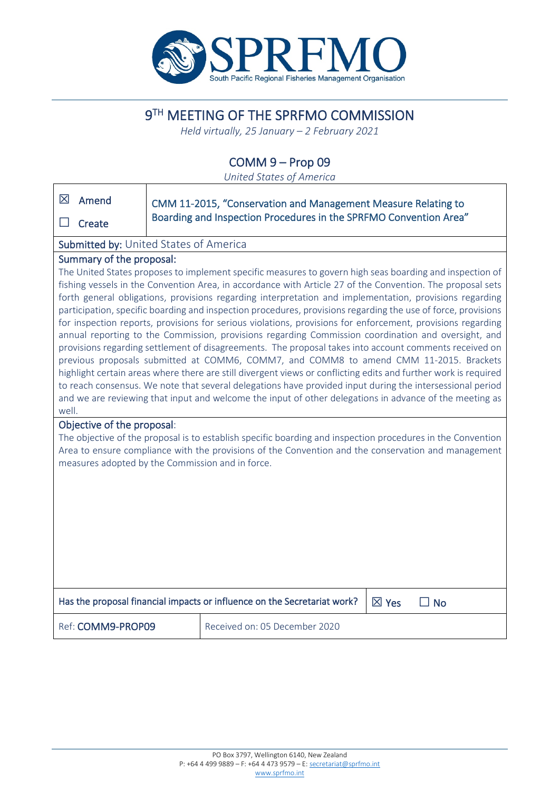

# 9TH MEETING OF THE SPRFMO COMMISSION

*Held virtually, 25 January – 2 February 2021*

# COMM 9 – Prop 09

*United States of America*

| 区                                                                                                                                                                                                                                                                                                                                                                                                                                                                                                                                                                                                                                                                                                                                                                                                                                                                                                                                                                                                                                                                                                                                                                                                                                | Amend             | CMM 11-2015, "Conservation and Management Measure Relating to |                                                                   |  |  |
|----------------------------------------------------------------------------------------------------------------------------------------------------------------------------------------------------------------------------------------------------------------------------------------------------------------------------------------------------------------------------------------------------------------------------------------------------------------------------------------------------------------------------------------------------------------------------------------------------------------------------------------------------------------------------------------------------------------------------------------------------------------------------------------------------------------------------------------------------------------------------------------------------------------------------------------------------------------------------------------------------------------------------------------------------------------------------------------------------------------------------------------------------------------------------------------------------------------------------------|-------------------|---------------------------------------------------------------|-------------------------------------------------------------------|--|--|
|                                                                                                                                                                                                                                                                                                                                                                                                                                                                                                                                                                                                                                                                                                                                                                                                                                                                                                                                                                                                                                                                                                                                                                                                                                  | Create            |                                                               | Boarding and Inspection Procedures in the SPRFMO Convention Area" |  |  |
| Submitted by: United States of America                                                                                                                                                                                                                                                                                                                                                                                                                                                                                                                                                                                                                                                                                                                                                                                                                                                                                                                                                                                                                                                                                                                                                                                           |                   |                                                               |                                                                   |  |  |
| Summary of the proposal:                                                                                                                                                                                                                                                                                                                                                                                                                                                                                                                                                                                                                                                                                                                                                                                                                                                                                                                                                                                                                                                                                                                                                                                                         |                   |                                                               |                                                                   |  |  |
| The United States proposes to implement specific measures to govern high seas boarding and inspection of<br>fishing vessels in the Convention Area, in accordance with Article 27 of the Convention. The proposal sets<br>forth general obligations, provisions regarding interpretation and implementation, provisions regarding<br>participation, specific boarding and inspection procedures, provisions regarding the use of force, provisions<br>for inspection reports, provisions for serious violations, provisions for enforcement, provisions regarding<br>annual reporting to the Commission, provisions regarding Commission coordination and oversight, and<br>provisions regarding settlement of disagreements. The proposal takes into account comments received on<br>previous proposals submitted at COMM6, COMM7, and COMM8 to amend CMM 11-2015. Brackets<br>highlight certain areas where there are still divergent views or conflicting edits and further work is required<br>to reach consensus. We note that several delegations have provided input during the intersessional period<br>and we are reviewing that input and welcome the input of other delegations in advance of the meeting as<br>well. |                   |                                                               |                                                                   |  |  |
| Objective of the proposal:                                                                                                                                                                                                                                                                                                                                                                                                                                                                                                                                                                                                                                                                                                                                                                                                                                                                                                                                                                                                                                                                                                                                                                                                       |                   |                                                               |                                                                   |  |  |
| The objective of the proposal is to establish specific boarding and inspection procedures in the Convention                                                                                                                                                                                                                                                                                                                                                                                                                                                                                                                                                                                                                                                                                                                                                                                                                                                                                                                                                                                                                                                                                                                      |                   |                                                               |                                                                   |  |  |
| Area to ensure compliance with the provisions of the Convention and the conservation and management<br>measures adopted by the Commission and in force.                                                                                                                                                                                                                                                                                                                                                                                                                                                                                                                                                                                                                                                                                                                                                                                                                                                                                                                                                                                                                                                                          |                   |                                                               |                                                                   |  |  |
|                                                                                                                                                                                                                                                                                                                                                                                                                                                                                                                                                                                                                                                                                                                                                                                                                                                                                                                                                                                                                                                                                                                                                                                                                                  |                   |                                                               |                                                                   |  |  |
|                                                                                                                                                                                                                                                                                                                                                                                                                                                                                                                                                                                                                                                                                                                                                                                                                                                                                                                                                                                                                                                                                                                                                                                                                                  |                   |                                                               |                                                                   |  |  |
|                                                                                                                                                                                                                                                                                                                                                                                                                                                                                                                                                                                                                                                                                                                                                                                                                                                                                                                                                                                                                                                                                                                                                                                                                                  |                   |                                                               |                                                                   |  |  |
|                                                                                                                                                                                                                                                                                                                                                                                                                                                                                                                                                                                                                                                                                                                                                                                                                                                                                                                                                                                                                                                                                                                                                                                                                                  |                   |                                                               |                                                                   |  |  |
|                                                                                                                                                                                                                                                                                                                                                                                                                                                                                                                                                                                                                                                                                                                                                                                                                                                                                                                                                                                                                                                                                                                                                                                                                                  |                   |                                                               |                                                                   |  |  |
| Has the proposal financial impacts or influence on the Secretariat work?<br>$\boxtimes$ Yes<br>$\Box$ No                                                                                                                                                                                                                                                                                                                                                                                                                                                                                                                                                                                                                                                                                                                                                                                                                                                                                                                                                                                                                                                                                                                         |                   |                                                               |                                                                   |  |  |
|                                                                                                                                                                                                                                                                                                                                                                                                                                                                                                                                                                                                                                                                                                                                                                                                                                                                                                                                                                                                                                                                                                                                                                                                                                  | Ref: COMM9-PROP09 |                                                               | Received on: 05 December 2020                                     |  |  |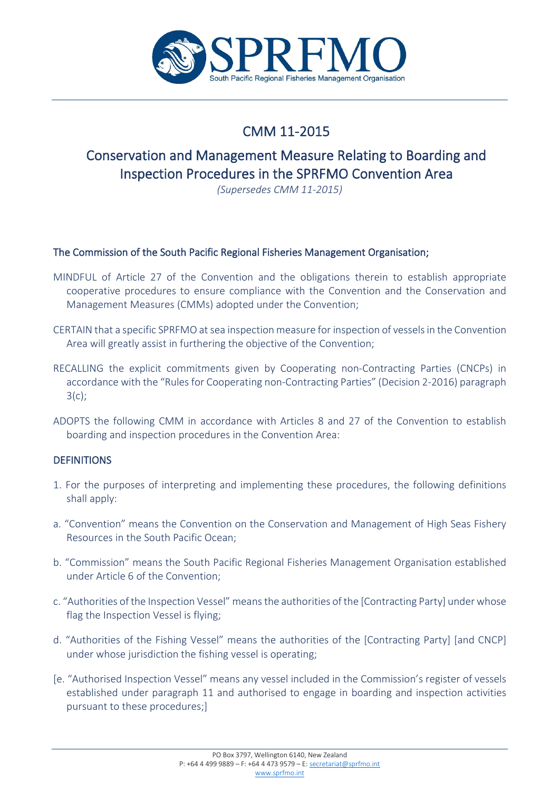

# CMM 11-2015

# Conservation and Management Measure Relating to Boarding and Inspection Procedures in the SPRFMO Convention Area

*(Supersedes CMM 11-2015)*

# The Commission of the South Pacific Regional Fisheries Management Organisation;

- MINDFUL of Article 27 of the Convention and the obligations therein to establish appropriate cooperative procedures to ensure compliance with the Convention and the Conservation and Management Measures (CMMs) adopted under the Convention;
- CERTAIN that a specific SPRFMO at sea inspection measure for inspection of vessels in the Convention Area will greatly assist in furthering the objective of the Convention;
- RECALLING the explicit commitments given by Cooperating non-Contracting Parties (CNCPs) in accordance with the "Rules for Cooperating non-Contracting Parties" (Decision 2-2016) paragraph 3(c);
- ADOPTS the following CMM in accordance with Articles 8 and 27 of the Convention to establish boarding and inspection procedures in the Convention Area:

# **DEFINITIONS**

- 1. For the purposes of interpreting and implementing these procedures, the following definitions shall apply:
- a. "Convention" means the Convention on the Conservation and Management of High Seas Fishery Resources in the South Pacific Ocean;
- b. "Commission" means the South Pacific Regional Fisheries Management Organisation established under Article 6 of the Convention;
- c. "Authorities of the Inspection Vessel" means the authorities of the [Contracting Party] under whose flag the Inspection Vessel is flying;
- d. "Authorities of the Fishing Vessel" means the authorities of the [Contracting Party] [and CNCP] under whose jurisdiction the fishing vessel is operating;
- [e. "Authorised Inspection Vessel" means any vessel included in the Commission's register of vessels established under paragraph 11 and authorised to engage in boarding and inspection activities pursuant to these procedures;]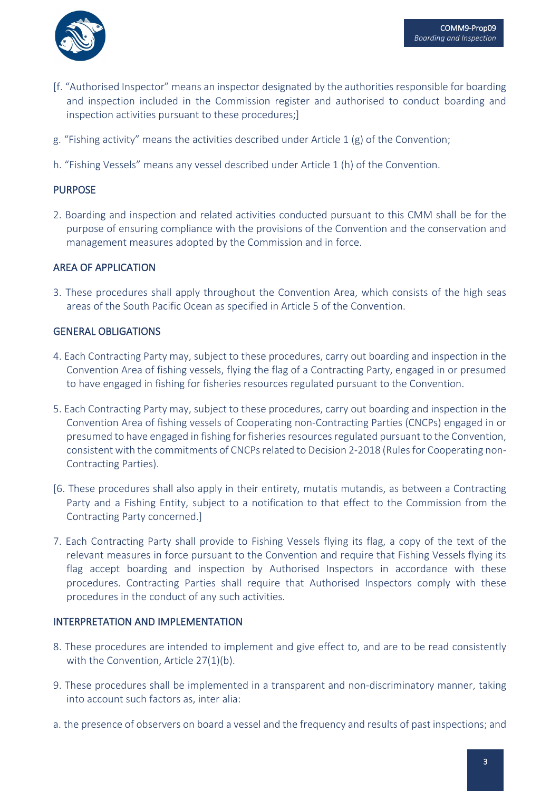

- [f. "Authorised Inspector" means an inspector designated by the authorities responsible for boarding and inspection included in the Commission register and authorised to conduct boarding and inspection activities pursuant to these procedures;]
- g. "Fishing activity" means the activities described under Article 1  $(g)$  of the Convention;
- h. "Fishing Vessels" means any vessel described under Article 1 (h) of the Convention.

### PURPOSE

2. Boarding and inspection and related activities conducted pursuant to this CMM shall be for the purpose of ensuring compliance with the provisions of the Convention and the conservation and management measures adopted by the Commission and in force.

#### AREA OF APPLICATION

3. These procedures shall apply throughout the Convention Area, which consists of the high seas areas of the South Pacific Ocean as specified in Article 5 of the Convention.

### GENERAL OBLIGATIONS

- 4. Each Contracting Party may, subject to these procedures, carry out boarding and inspection in the Convention Area of fishing vessels, flying the flag of a Contracting Party, engaged in or presumed to have engaged in fishing for fisheries resources regulated pursuant to the Convention.
- 5. Each Contracting Party may, subject to these procedures, carry out boarding and inspection in the Convention Area of fishing vessels of Cooperating non-Contracting Parties (CNCPs) engaged in or presumed to have engaged in fishing for fisheries resources regulated pursuant to the Convention, consistent with the commitments of CNCPs related to Decision 2-2018 (Rules for Cooperating non-Contracting Parties).
- [6. These procedures shall also apply in their entirety, mutatis mutandis, as between a Contracting Party and a Fishing Entity, subject to a notification to that effect to the Commission from the Contracting Party concerned.]
- 7. Each Contracting Party shall provide to Fishing Vessels flying its flag, a copy of the text of the relevant measures in force pursuant to the Convention and require that Fishing Vessels flying its flag accept boarding and inspection by Authorised Inspectors in accordance with these procedures. Contracting Parties shall require that Authorised Inspectors comply with these procedures in the conduct of any such activities.

#### INTERPRETATION AND IMPLEMENTATION

- 8. These procedures are intended to implement and give effect to, and are to be read consistently with the Convention, Article 27(1)(b).
- 9. These procedures shall be implemented in a transparent and non-discriminatory manner, taking into account such factors as, inter alia:
- a. the presence of observers on board a vessel and the frequency and results of past inspections; and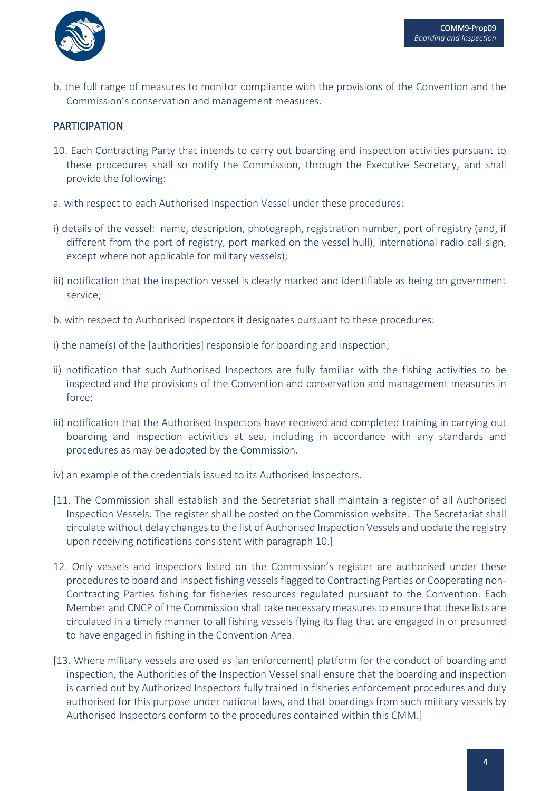

b. the full range of measures to monitor compliance with the provisions of the Convention and the Commission's conservation and management measures.

# **PARTICIPATION**

- 10. Each Contracting Party that intends to carry out boarding and inspection activities pursuant to these procedures shall so notify the Commission, through the Executive Secretary, and shall provide the following:
- a. with respect to each Authorised Inspection Vessel under these procedures:
- i) details of the vessel: name, description, photograph, registration number, port of registry (and, if different from the port of registry, port marked on the vessel hull), international radio call sign, except where not applicable for military vessels);
- iii) notification that the inspection vessel is clearly marked and identifiable as being on government service;
- b. with respect to Authorised Inspectors it designates pursuant to these procedures:
- i) the name(s) of the [authorities] responsible for boarding and inspection;
- ii) notification that such Authorised Inspectors are fully familiar with the fishing activities to be inspected and the provisions of the Convention and conservation and management measures in force;
- iii) notification that the Authorised Inspectors have received and completed training in carrying out boarding and inspection activities at sea, including in accordance with any standards and procedures as may be adopted by the Commission.
- iv) an example of the credentials issued to its Authorised Inspectors.
- [11. The Commission shall establish and the Secretariat shall maintain a register of all Authorised Inspection Vessels. The register shall be posted on the Commission website. The Secretariat shall circulate without delay changes to the list of Authorised Inspection Vessels and update the registry upon receiving notifications consistent with paragraph 10.]
- 12. Only vessels and inspectors listed on the Commission's register are authorised under these procedures to board and inspect fishing vessels flagged to Contracting Parties or Cooperating non-Contracting Parties fishing for fisheries resources regulated pursuant to the Convention. Each Member and CNCP of the Commission shall take necessary measures to ensure that these lists are circulated in a timely manner to all fishing vessels flying its flag that are engaged in or presumed to have engaged in fishing in the Convention Area.
- [13. Where military vessels are used as [an enforcement] platform for the conduct of boarding and inspection, the Authorities of the Inspection Vessel shall ensure that the boarding and inspection is carried out by Authorized Inspectors fully trained in fisheries enforcement procedures and duly authorised for this purpose under national laws, and that boardings from such military vessels by Authorised Inspectors conform to the procedures contained within this CMM.]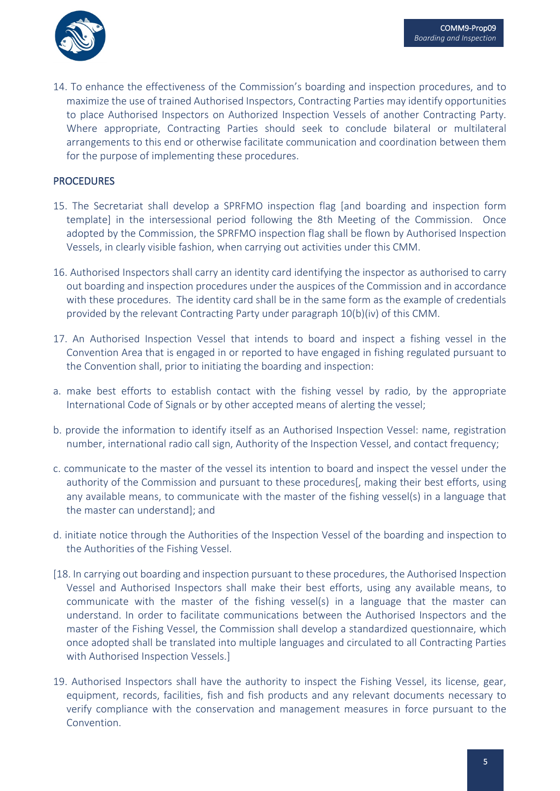

14. To enhance the effectiveness of the Commission's boarding and inspection procedures, and to maximize the use of trained Authorised Inspectors, Contracting Parties may identify opportunities to place Authorised Inspectors on Authorized Inspection Vessels of another Contracting Party. Where appropriate, Contracting Parties should seek to conclude bilateral or multilateral arrangements to this end or otherwise facilitate communication and coordination between them for the purpose of implementing these procedures.

### PROCEDURES

- 15. The Secretariat shall develop a SPRFMO inspection flag [and boarding and inspection form template] in the intersessional period following the 8th Meeting of the Commission. Once adopted by the Commission, the SPRFMO inspection flag shall be flown by Authorised Inspection Vessels, in clearly visible fashion, when carrying out activities under this CMM.
- 16. Authorised Inspectors shall carry an identity card identifying the inspector as authorised to carry out boarding and inspection procedures under the auspices of the Commission and in accordance with these procedures. The identity card shall be in the same form as the example of credentials provided by the relevant Contracting Party under paragraph 10(b)(iv) of this CMM.
- 17. An Authorised Inspection Vessel that intends to board and inspect a fishing vessel in the Convention Area that is engaged in or reported to have engaged in fishing regulated pursuant to the Convention shall, prior to initiating the boarding and inspection:
- a. make best efforts to establish contact with the fishing vessel by radio, by the appropriate International Code of Signals or by other accepted means of alerting the vessel;
- b. provide the information to identify itself as an Authorised Inspection Vessel: name, registration number, international radio call sign, Authority of the Inspection Vessel, and contact frequency;
- c. communicate to the master of the vessel its intention to board and inspect the vessel under the authority of the Commission and pursuant to these procedures[, making their best efforts, using any available means, to communicate with the master of the fishing vessel(s) in a language that the master can understand]; and
- d. initiate notice through the Authorities of the Inspection Vessel of the boarding and inspection to the Authorities of the Fishing Vessel.
- [18. In carrying out boarding and inspection pursuant to these procedures, the Authorised Inspection Vessel and Authorised Inspectors shall make their best efforts, using any available means, to communicate with the master of the fishing vessel(s) in a language that the master can understand. In order to facilitate communications between the Authorised Inspectors and the master of the Fishing Vessel, the Commission shall develop a standardized questionnaire, which once adopted shall be translated into multiple languages and circulated to all Contracting Parties with Authorised Inspection Vessels.]
- 19. Authorised Inspectors shall have the authority to inspect the Fishing Vessel, its license, gear, equipment, records, facilities, fish and fish products and any relevant documents necessary to verify compliance with the conservation and management measures in force pursuant to the Convention.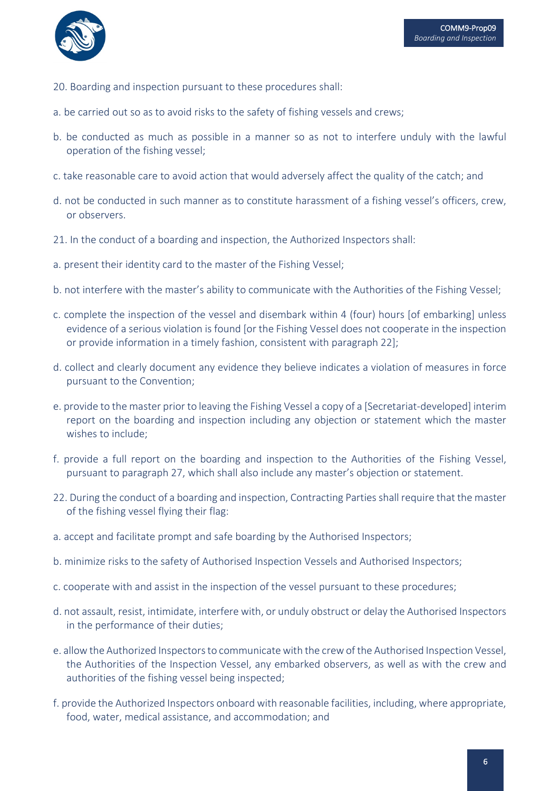

- 20. Boarding and inspection pursuant to these procedures shall:
- a. be carried out so as to avoid risks to the safety of fishing vessels and crews;
- b. be conducted as much as possible in a manner so as not to interfere unduly with the lawful operation of the fishing vessel;
- c. take reasonable care to avoid action that would adversely affect the quality of the catch; and
- d. not be conducted in such manner as to constitute harassment of a fishing vessel's officers, crew, or observers.
- 21. In the conduct of a boarding and inspection, the Authorized Inspectors shall:
- a. present their identity card to the master of the Fishing Vessel;
- b. not interfere with the master's ability to communicate with the Authorities of the Fishing Vessel;
- c. complete the inspection of the vessel and disembark within 4 (four) hours [of embarking] unless evidence of a serious violation is found [or the Fishing Vessel does not cooperate in the inspection or provide information in a timely fashion, consistent with paragraph 22];
- d. collect and clearly document any evidence they believe indicates a violation of measures in force pursuant to the Convention;
- e. provide to the master prior to leaving the Fishing Vessel a copy of a [Secretariat-developed] interim report on the boarding and inspection including any objection or statement which the master wishes to include;
- f. provide a full report on the boarding and inspection to the Authorities of the Fishing Vessel, pursuant to paragraph 27, which shall also include any master's objection or statement.
- 22. During the conduct of a boarding and inspection, Contracting Parties shall require that the master of the fishing vessel flying their flag:
- a. accept and facilitate prompt and safe boarding by the Authorised Inspectors;
- b. minimize risks to the safety of Authorised Inspection Vessels and Authorised Inspectors;
- c. cooperate with and assist in the inspection of the vessel pursuant to these procedures;
- d. not assault, resist, intimidate, interfere with, or unduly obstruct or delay the Authorised Inspectors in the performance of their duties;
- e. allow the Authorized Inspectors to communicate with the crew of the Authorised Inspection Vessel, the Authorities of the Inspection Vessel, any embarked observers, as well as with the crew and authorities of the fishing vessel being inspected;
- f. provide the Authorized Inspectors onboard with reasonable facilities, including, where appropriate, food, water, medical assistance, and accommodation; and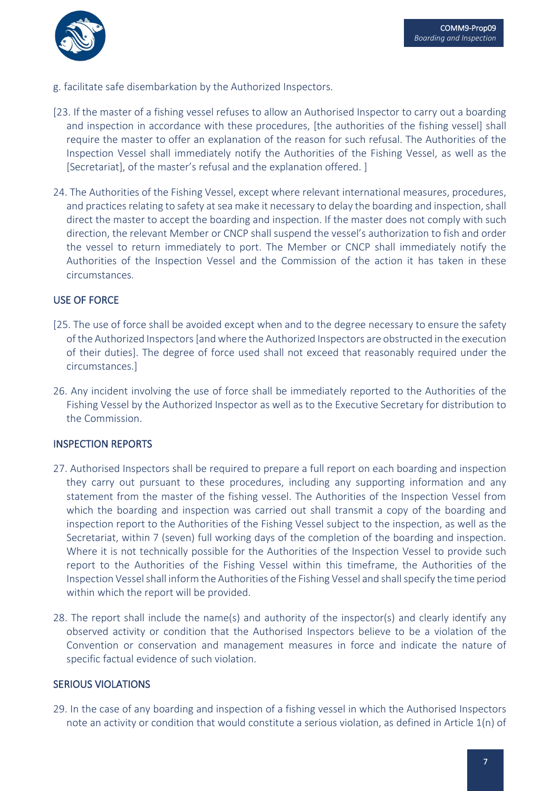

- g. facilitate safe disembarkation by the Authorized Inspectors.
- [23. If the master of a fishing vessel refuses to allow an Authorised Inspector to carry out a boarding and inspection in accordance with these procedures, [the authorities of the fishing vessel] shall require the master to offer an explanation of the reason for such refusal. The Authorities of the Inspection Vessel shall immediately notify the Authorities of the Fishing Vessel, as well as the [Secretariat], of the master's refusal and the explanation offered.]
- 24. The Authorities of the Fishing Vessel, except where relevant international measures, procedures, and practices relating to safety at sea make it necessary to delay the boarding and inspection, shall direct the master to accept the boarding and inspection. If the master does not comply with such direction, the relevant Member or CNCP shall suspend the vessel's authorization to fish and order the vessel to return immediately to port. The Member or CNCP shall immediately notify the Authorities of the Inspection Vessel and the Commission of the action it has taken in these circumstances.

### USE OF FORCE

- [25. The use of force shall be avoided except when and to the degree necessary to ensure the safety of the Authorized Inspectors [and where the Authorized Inspectors are obstructed in the execution of their duties]. The degree of force used shall not exceed that reasonably required under the circumstances.]
- 26. Any incident involving the use of force shall be immediately reported to the Authorities of the Fishing Vessel by the Authorized Inspector as well as to the Executive Secretary for distribution to the Commission.

#### INSPECTION REPORTS

- 27. Authorised Inspectors shall be required to prepare a full report on each boarding and inspection they carry out pursuant to these procedures, including any supporting information and any statement from the master of the fishing vessel. The Authorities of the Inspection Vessel from which the boarding and inspection was carried out shall transmit a copy of the boarding and inspection report to the Authorities of the Fishing Vessel subject to the inspection, as well as the Secretariat, within 7 (seven) full working days of the completion of the boarding and inspection. Where it is not technically possible for the Authorities of the Inspection Vessel to provide such report to the Authorities of the Fishing Vessel within this timeframe, the Authorities of the Inspection Vessel shall inform the Authorities of the Fishing Vessel and shall specify the time period within which the report will be provided.
- 28. The report shall include the name(s) and authority of the inspector(s) and clearly identify any observed activity or condition that the Authorised Inspectors believe to be a violation of the Convention or conservation and management measures in force and indicate the nature of specific factual evidence of such violation.

#### SERIOUS VIOLATIONS

29. In the case of any boarding and inspection of a fishing vessel in which the Authorised Inspectors note an activity or condition that would constitute a serious violation, as defined in Article 1(n) of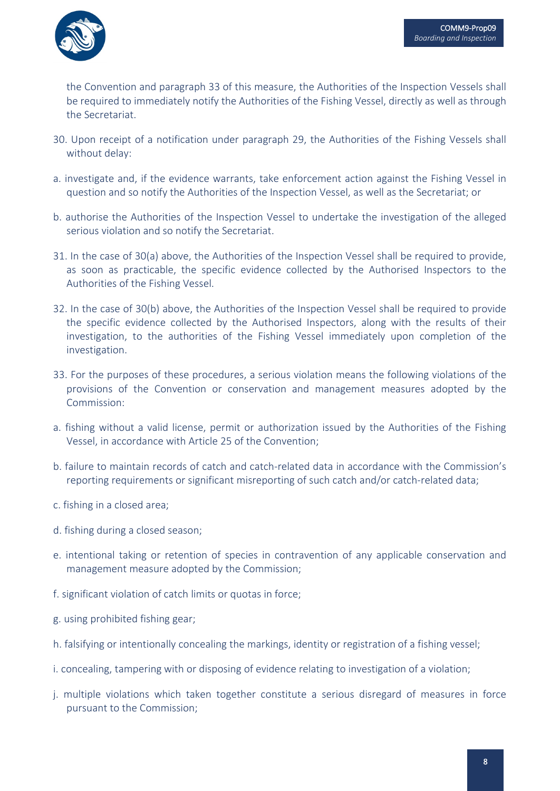

the Convention and paragraph 33 of this measure, the Authorities of the Inspection Vessels shall be required to immediately notify the Authorities of the Fishing Vessel, directly as well as through the Secretariat.

- 30. Upon receipt of a notification under paragraph 29, the Authorities of the Fishing Vessels shall without delay:
- a. investigate and, if the evidence warrants, take enforcement action against the Fishing Vessel in question and so notify the Authorities of the Inspection Vessel, as well as the Secretariat; or
- b. authorise the Authorities of the Inspection Vessel to undertake the investigation of the alleged serious violation and so notify the Secretariat.
- 31. In the case of 30(a) above, the Authorities of the Inspection Vessel shall be required to provide, as soon as practicable, the specific evidence collected by the Authorised Inspectors to the Authorities of the Fishing Vessel.
- 32. In the case of 30(b) above, the Authorities of the Inspection Vessel shall be required to provide the specific evidence collected by the Authorised Inspectors, along with the results of their investigation, to the authorities of the Fishing Vessel immediately upon completion of the investigation.
- 33. For the purposes of these procedures, a serious violation means the following violations of the provisions of the Convention or conservation and management measures adopted by the Commission:
- a. fishing without a valid license, permit or authorization issued by the Authorities of the Fishing Vessel, in accordance with Article 25 of the Convention;
- b. failure to maintain records of catch and catch-related data in accordance with the Commission's reporting requirements or significant misreporting of such catch and/or catch-related data;
- c. fishing in a closed area;
- d. fishing during a closed season;
- e. intentional taking or retention of species in contravention of any applicable conservation and management measure adopted by the Commission;
- f. significant violation of catch limits or quotas in force;
- g. using prohibited fishing gear;
- h. falsifying or intentionally concealing the markings, identity or registration of a fishing vessel;
- i. concealing, tampering with or disposing of evidence relating to investigation of a violation;
- j. multiple violations which taken together constitute a serious disregard of measures in force pursuant to the Commission;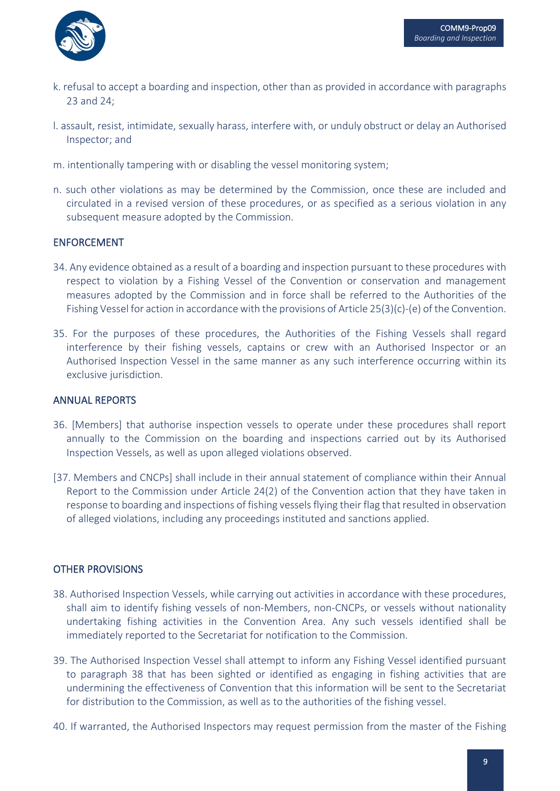

- k. refusal to accept a boarding and inspection, other than as provided in accordance with paragraphs 23 and 24;
- l. assault, resist, intimidate, sexually harass, interfere with, or unduly obstruct or delay an Authorised Inspector; and
- m. intentionally tampering with or disabling the vessel monitoring system;
- n. such other violations as may be determined by the Commission, once these are included and circulated in a revised version of these procedures, or as specified as a serious violation in any subsequent measure adopted by the Commission.

# ENFORCEMENT

- 34. Any evidence obtained as a result of a boarding and inspection pursuant to these procedures with respect to violation by a Fishing Vessel of the Convention or conservation and management measures adopted by the Commission and in force shall be referred to the Authorities of the Fishing Vessel for action in accordance with the provisions of Article 25(3)(c)-(e) of the Convention.
- 35. For the purposes of these procedures, the Authorities of the Fishing Vessels shall regard interference by their fishing vessels, captains or crew with an Authorised Inspector or an Authorised Inspection Vessel in the same manner as any such interference occurring within its exclusive jurisdiction.

#### ANNUAL REPORTS

- 36. [Members] that authorise inspection vessels to operate under these procedures shall report annually to the Commission on the boarding and inspections carried out by its Authorised Inspection Vessels, as well as upon alleged violations observed.
- [37. Members and CNCPs] shall include in their annual statement of compliance within their Annual Report to the Commission under Article 24(2) of the Convention action that they have taken in response to boarding and inspections of fishing vessels flying their flag that resulted in observation of alleged violations, including any proceedings instituted and sanctions applied.

# OTHER PROVISIONS

- 38. Authorised Inspection Vessels, while carrying out activities in accordance with these procedures, shall aim to identify fishing vessels of non-Members, non-CNCPs, or vessels without nationality undertaking fishing activities in the Convention Area. Any such vessels identified shall be immediately reported to the Secretariat for notification to the Commission.
- 39. The Authorised Inspection Vessel shall attempt to inform any Fishing Vessel identified pursuant to paragraph 38 that has been sighted or identified as engaging in fishing activities that are undermining the effectiveness of Convention that this information will be sent to the Secretariat for distribution to the Commission, as well as to the authorities of the fishing vessel.
- 40. If warranted, the Authorised Inspectors may request permission from the master of the Fishing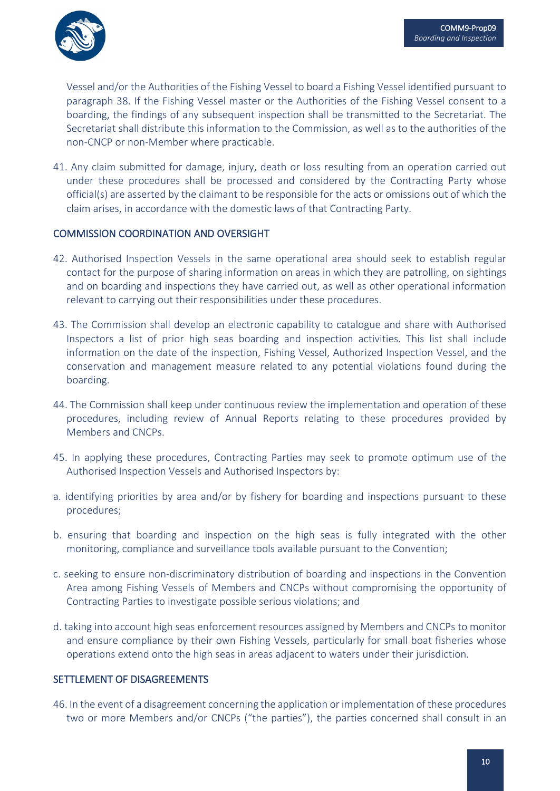

Vessel and/or the Authorities of the Fishing Vessel to board a Fishing Vessel identified pursuant to paragraph 38. If the Fishing Vessel master or the Authorities of the Fishing Vessel consent to a boarding, the findings of any subsequent inspection shall be transmitted to the Secretariat. The Secretariat shall distribute this information to the Commission, as well as to the authorities of the non-CNCP or non-Member where practicable.

41. Any claim submitted for damage, injury, death or loss resulting from an operation carried out under these procedures shall be processed and considered by the Contracting Party whose official(s) are asserted by the claimant to be responsible for the acts or omissions out of which the claim arises, in accordance with the domestic laws of that Contracting Party.

#### COMMISSION COORDINATION AND OVERSIGHT

- 42. Authorised Inspection Vessels in the same operational area should seek to establish regular contact for the purpose of sharing information on areas in which they are patrolling, on sightings and on boarding and inspections they have carried out, as well as other operational information relevant to carrying out their responsibilities under these procedures.
- 43. The Commission shall develop an electronic capability to catalogue and share with Authorised Inspectors a list of prior high seas boarding and inspection activities. This list shall include information on the date of the inspection, Fishing Vessel, Authorized Inspection Vessel, and the conservation and management measure related to any potential violations found during the boarding.
- 44. The Commission shall keep under continuous review the implementation and operation of these procedures, including review of Annual Reports relating to these procedures provided by Members and CNCPs.
- 45. In applying these procedures, Contracting Parties may seek to promote optimum use of the Authorised Inspection Vessels and Authorised Inspectors by:
- a. identifying priorities by area and/or by fishery for boarding and inspections pursuant to these procedures;
- b. ensuring that boarding and inspection on the high seas is fully integrated with the other monitoring, compliance and surveillance tools available pursuant to the Convention;
- c. seeking to ensure non-discriminatory distribution of boarding and inspections in the Convention Area among Fishing Vessels of Members and CNCPs without compromising the opportunity of Contracting Parties to investigate possible serious violations; and
- d. taking into account high seas enforcement resources assigned by Members and CNCPs to monitor and ensure compliance by their own Fishing Vessels, particularly for small boat fisheries whose operations extend onto the high seas in areas adjacent to waters under their jurisdiction.

#### SETTLEMENT OF DISAGREEMENTS

46. In the event of a disagreement concerning the application or implementation of these procedures two or more Members and/or CNCPs ("the parties"), the parties concerned shall consult in an